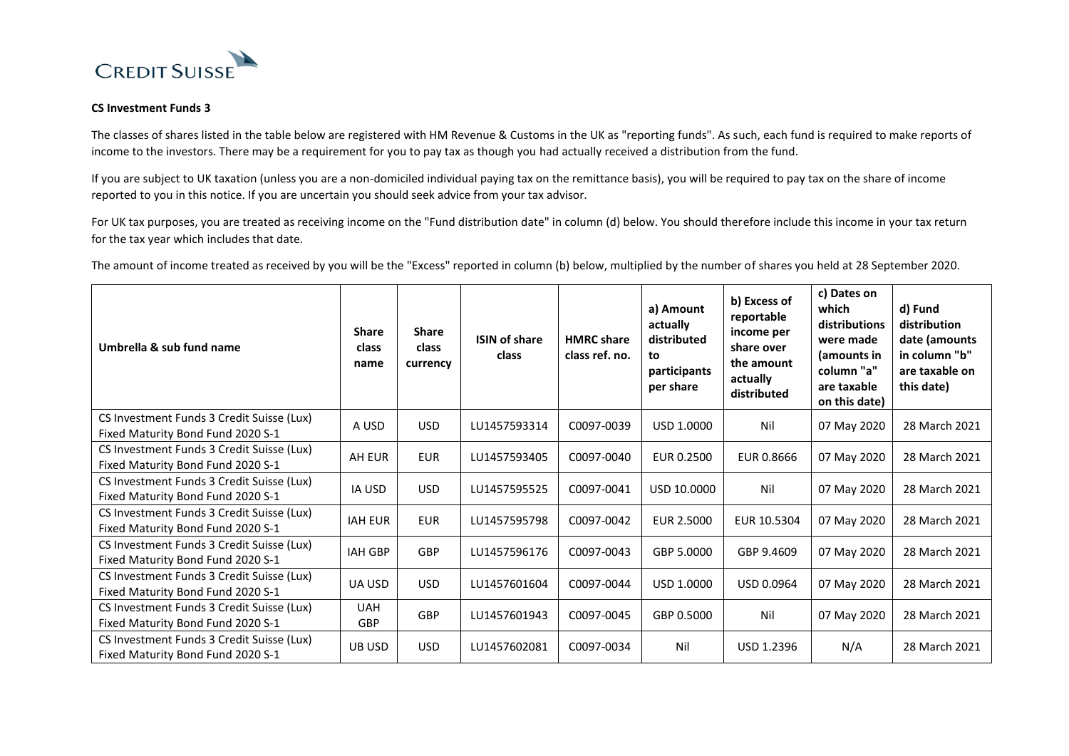

## **CS Investment Funds 3**

The classes of shares listed in the table below are registered with HM Revenue & Customs in the UK as "reporting funds". As such, each fund is required to make reports of income to the investors. There may be a requirement for you to pay tax as though you had actually received a distribution from the fund.

If you are subject to UK taxation (unless you are a non-domiciled individual paying tax on the remittance basis), you will be required to pay tax on the share of income reported to you in this notice. If you are uncertain you should seek advice from your tax advisor.

For UK tax purposes, you are treated as receiving income on the "Fund distribution date" in column (d) below. You should therefore include this income in your tax return for the tax year which includes that date.

The amount of income treated as received by you will be the "Excess" reported in column (b) below, multiplied by the number of shares you held at 28 September 2020.

| Umbrella & sub fund name                                                       | <b>Share</b><br>class<br>name | <b>Share</b><br>class<br>currency | <b>ISIN of share</b><br>class | <b>HMRC</b> share<br>class ref. no. | a) Amount<br>actually<br>distributed<br>to<br>participants<br>per share | b) Excess of<br>reportable<br>income per<br>share over<br>the amount<br>actually<br>distributed | c) Dates on<br>which<br>distributions<br>were made<br>(amounts in<br>column "a"<br>are taxable<br>on this date) | d) Fund<br>distribution<br>date (amounts<br>in column "b"<br>are taxable on<br>this date) |
|--------------------------------------------------------------------------------|-------------------------------|-----------------------------------|-------------------------------|-------------------------------------|-------------------------------------------------------------------------|-------------------------------------------------------------------------------------------------|-----------------------------------------------------------------------------------------------------------------|-------------------------------------------------------------------------------------------|
| CS Investment Funds 3 Credit Suisse (Lux)<br>Fixed Maturity Bond Fund 2020 S-1 | A USD                         | <b>USD</b>                        | LU1457593314                  | C0097-0039                          | USD 1.0000                                                              | Nil                                                                                             | 07 May 2020                                                                                                     | 28 March 2021                                                                             |
| CS Investment Funds 3 Credit Suisse (Lux)<br>Fixed Maturity Bond Fund 2020 S-1 | AH EUR                        | <b>EUR</b>                        | LU1457593405                  | C0097-0040                          | EUR 0.2500                                                              | EUR 0.8666                                                                                      | 07 May 2020                                                                                                     | 28 March 2021                                                                             |
| CS Investment Funds 3 Credit Suisse (Lux)<br>Fixed Maturity Bond Fund 2020 S-1 | IA USD                        | <b>USD</b>                        | LU1457595525                  | C0097-0041                          | USD 10.0000                                                             | Nil                                                                                             | 07 May 2020                                                                                                     | 28 March 2021                                                                             |
| CS Investment Funds 3 Credit Suisse (Lux)<br>Fixed Maturity Bond Fund 2020 S-1 | <b>IAH EUR</b>                | <b>EUR</b>                        | LU1457595798                  | C0097-0042                          | EUR 2.5000                                                              | EUR 10.5304                                                                                     | 07 May 2020                                                                                                     | 28 March 2021                                                                             |
| CS Investment Funds 3 Credit Suisse (Lux)<br>Fixed Maturity Bond Fund 2020 S-1 | <b>IAH GBP</b>                | GBP                               | LU1457596176                  | C0097-0043                          | GBP 5.0000                                                              | GBP 9.4609                                                                                      | 07 May 2020                                                                                                     | 28 March 2021                                                                             |
| CS Investment Funds 3 Credit Suisse (Lux)<br>Fixed Maturity Bond Fund 2020 S-1 | UA USD                        | <b>USD</b>                        | LU1457601604                  | C0097-0044                          | USD 1.0000                                                              | USD 0.0964                                                                                      | 07 May 2020                                                                                                     | 28 March 2021                                                                             |
| CS Investment Funds 3 Credit Suisse (Lux)<br>Fixed Maturity Bond Fund 2020 S-1 | <b>UAH</b><br>GBP             | GBP                               | LU1457601943                  | C0097-0045                          | GBP 0.5000                                                              | Nil                                                                                             | 07 May 2020                                                                                                     | 28 March 2021                                                                             |
| CS Investment Funds 3 Credit Suisse (Lux)<br>Fixed Maturity Bond Fund 2020 S-1 | UB USD                        | <b>USD</b>                        | LU1457602081                  | C0097-0034                          | Nil                                                                     | USD 1.2396                                                                                      | N/A                                                                                                             | 28 March 2021                                                                             |